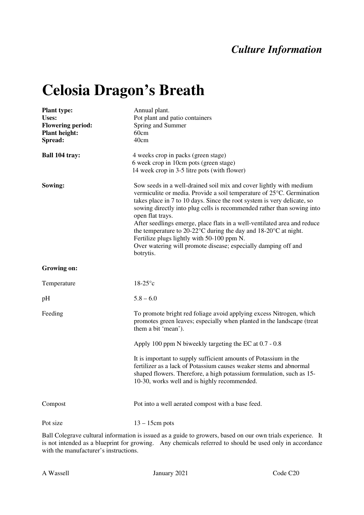## *Culture Information*

## **Celosia Dragon's Breath**

| <b>Plant type:</b><br>Uses:<br><b>Flowering period:</b><br><b>Plant height:</b><br>Spread: | Annual plant.<br>Pot plant and patio containers<br>Spring and Summer<br>60cm<br>40cm                                                                                                                                                                                                                                                                                                                                                                                                                                                                                                                                 |
|--------------------------------------------------------------------------------------------|----------------------------------------------------------------------------------------------------------------------------------------------------------------------------------------------------------------------------------------------------------------------------------------------------------------------------------------------------------------------------------------------------------------------------------------------------------------------------------------------------------------------------------------------------------------------------------------------------------------------|
| Ball 104 tray:                                                                             | 4 weeks crop in packs (green stage)<br>6 week crop in 10cm pots (green stage)<br>14 week crop in 3-5 litre pots (with flower)                                                                                                                                                                                                                                                                                                                                                                                                                                                                                        |
| Sowing:                                                                                    | Sow seeds in a well-drained soil mix and cover lightly with medium<br>vermiculite or media. Provide a soil temperature of 25°C. Germination<br>takes place in 7 to 10 days. Since the root system is very delicate, so<br>sowing directly into plug cells is recommended rather than sowing into<br>open flat trays.<br>After seedlings emerge, place flats in a well-ventilated area and reduce<br>the temperature to 20-22 $\degree$ C during the day and 18-20 $\degree$ C at night.<br>Fertilize plugs lightly with 50-100 ppm N.<br>Over watering will promote disease; especially damping off and<br>botrytis. |
| Growing on:                                                                                |                                                                                                                                                                                                                                                                                                                                                                                                                                                                                                                                                                                                                      |
| Temperature                                                                                | $18-25$ °c                                                                                                                                                                                                                                                                                                                                                                                                                                                                                                                                                                                                           |
| pH                                                                                         | $5.8 - 6.0$                                                                                                                                                                                                                                                                                                                                                                                                                                                                                                                                                                                                          |
| Feeding                                                                                    | To promote bright red foliage avoid applying excess Nitrogen, which<br>promotes green leaves; especially when planted in the landscape (treat<br>them a bit 'mean').                                                                                                                                                                                                                                                                                                                                                                                                                                                 |
|                                                                                            | Apply 100 ppm N biweekly targeting the EC at 0.7 - 0.8                                                                                                                                                                                                                                                                                                                                                                                                                                                                                                                                                               |
|                                                                                            | It is important to supply sufficient amounts of Potassium in the<br>fertilizer as a lack of Potassium causes weaker stems and abnormal<br>shaped flowers. Therefore, a high potassium formulation, such as 15-<br>10-30, works well and is highly recommended.                                                                                                                                                                                                                                                                                                                                                       |
| Compost                                                                                    | Pot into a well aerated compost with a base feed.                                                                                                                                                                                                                                                                                                                                                                                                                                                                                                                                                                    |
| Pot size                                                                                   | $13 - 15$ cm pots                                                                                                                                                                                                                                                                                                                                                                                                                                                                                                                                                                                                    |

Ball Colegrave cultural information is issued as a guide to growers, based on our own trials experience. It is not intended as a blueprint for growing. Any chemicals referred to should be used only in accordance with the manufacturer's instructions.